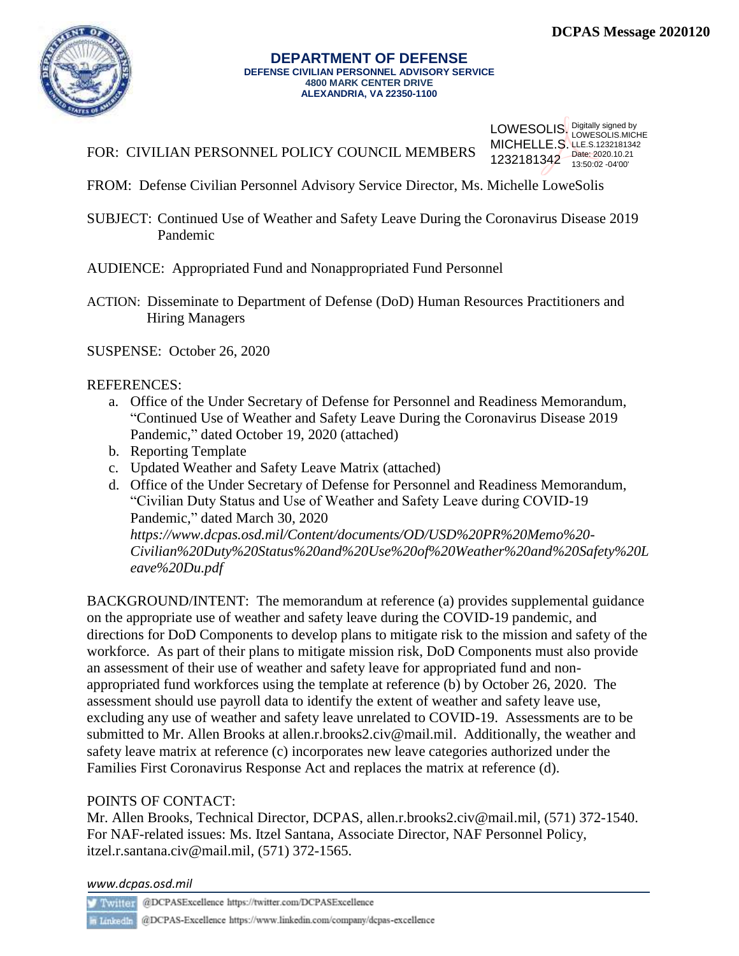

#### **DEPARTMENT OF DEFENSE DEFENSE CIVILIAN PERSONNEL ADVISORY SERVICE 4800 MARK CENTER DRIVE ALEXANDRIA, VA 22350-1100**

FOR: CIVILIAN PERSONNEL POLICY COUNCIL MEMBERS

LOWESOLIS. Digitally signed by **MICHELLE.S. LLE.S.1232181342** 1232181342 Date: 2020.10.21 LOWESOLIS.MICHE 13:50:02 -04'00'

- FROM: Defense Civilian Personnel Advisory Service Director, Ms. Michelle LoweSolis
- SUBJECT: Continued Use of Weather and Safety Leave During the Coronavirus Disease 2019 Pandemic

AUDIENCE: Appropriated Fund and Nonappropriated Fund Personnel

ACTION: Disseminate to Department of Defense (DoD) Human Resources Practitioners and Hiring Managers

SUSPENSE: October 26, 2020

## REFERENCES:

- a. Office of the Under Secretary of Defense for Personnel and Readiness Memorandum, "Continued Use of Weather and Safety Leave During the Coronavirus Disease 2019 Pandemic," dated October 19, 2020 (attached)
- b. Reporting Template
- c. Updated Weather and Safety Leave Matrix (attached)
- d. Office of the Under Secretary of Defense for Personnel and Readiness Memorandum, "Civilian Duty Status and Use of Weather and Safety Leave during COVID-19 Pandemic," dated March 30, 2020 *[https://www.dcpas.osd.mil/Content/documents/OD/USD%20PR%20Memo%20-](https://www.dcpas.osd.mil/Content/documents/OD/USD%20PR%20Memo%20-Civilian%20Duty%20Status%20and%20Use%20of%20Weather%20and%20Safety%20Leave%20Du.pdf) [Civilian%20Duty%20Status%20and%20Use%20of%20Weather%20and%20Safety%20L](https://www.dcpas.osd.mil/Content/documents/OD/USD%20PR%20Memo%20-Civilian%20Duty%20Status%20and%20Use%20of%20Weather%20and%20Safety%20Leave%20Du.pdf) [eave%20Du.pdf](https://www.dcpas.osd.mil/Content/documents/OD/USD%20PR%20Memo%20-Civilian%20Duty%20Status%20and%20Use%20of%20Weather%20and%20Safety%20Leave%20Du.pdf)*

BACKGROUND/INTENT: The memorandum at reference (a) provides supplemental guidance on the appropriate use of weather and safety leave during the COVID-19 pandemic, and directions for DoD Components to develop plans to mitigate risk to the mission and safety of the workforce. As part of their plans to mitigate mission risk, DoD Components must also provide an assessment of their use of weather and safety leave for appropriated fund and nonappropriated fund workforces using the template at reference (b) by October 26, 2020. The assessment should use payroll data to identify the extent of weather and safety leave use, excluding any use of weather and safety leave unrelated to COVID-19. Assessments are to be submitted to Mr. Allen Brooks at allen.r.brooks2.civ@mail.mil. Additionally, the weather and safety leave matrix at reference (c) incorporates new leave categories authorized under the Families First Coronavirus Response Act and replaces the matrix at reference (d).

## POINTS OF CONTACT:

Mr. Allen Brooks, Technical Director, DCPAS, allen.r.brooks2.civ@mail.mil, (571) 372-1540. For NAF-related issues: Ms. Itzel Santana, Associate Director, NAF Personnel Policy, itzel.r.santana.civ@mail.mil, (571) 372-1565.

*www.dcpas.osd.mil*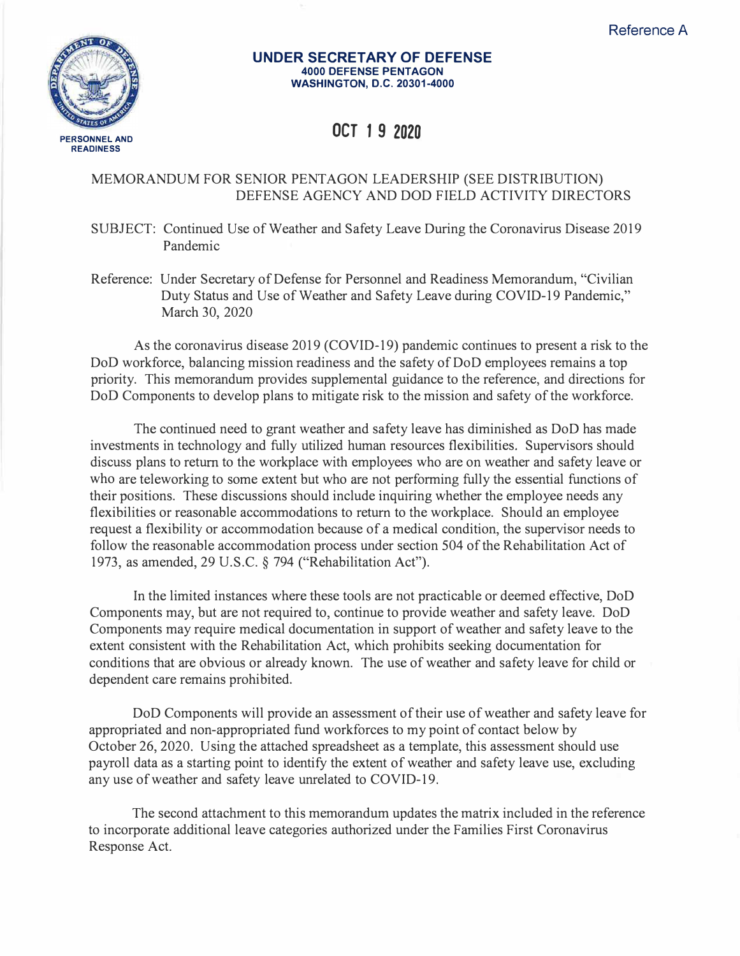

### **UNDER SECRETARY OF DEFENSE 4000 DEFENSE PENTAGON WASHINGTON, D.C. 20301-4000**

# **OCT 1 9 2020**

## MEMORANDUM FOR SENIOR PENTAGON LEADERSHIP (SEE DISTRIBUTION) DEFENSE AGENCY AND DOD FIELD ACTIVITY DIRECTORS

SUBJECT: Continued Use of Weather and Safety Leave During the Coronavirus Disease 2019 Pandemic

Reference: Under Secretary of Defense for Personnel and Readiness Memorandum, "Civilian Duty Status and Use of Weather and Safety Leave during COVID-19 Pandemic," March 30, 2020

As the coronavirus disease 2019 (COVID-19) pandemic continues to present a risk to the DoD workforce, balancing mission readiness and the safety of DoD employees remains a top priority. This memorandum provides supplemental guidance to the reference, and directions for DoD Components to develop plans to mitigate risk to the mission and safety of the workforce.

The continued need to grant weather and safety leave has diminished as DoD has made investments in technology and fully utilized human resources flexibilities. Supervisors should discuss plans to return to the workplace with employees who are on weather and safety leave or who are teleworking to some extent but who are not performing fully the essential functions of their positions. These discussions should include inquiring whether the employee needs any flexibilities or reasonable accommodations to return to the workplace. Should an employee request a flexibility or accommodation because of a medical condition, the supervisor needs to follow the reasonable accommodation process under section 504 of the Rehabilitation Act of 1973, as amended, 29 U.S.C. § 794 ("Rehabilitation Act").

In the limited instances where these tools are not practicable or deemed effective, DoD Components may, but are not required to, continue to provide weather and safety leave. DoD Components may require medical documentation in support of weather and safety leave to the extent consistent with the Rehabilitation Act, which prohibits seeking documentation for conditions that are obvious or already known. The use of weather and safety leave for child or dependent care remains prohibited.

DoD Components will provide an assessment of their use of weather and safety leave for appropriated and non-appropriated fund workforces to my point of contact below by October 26, 2020. Using the attached spreadsheet as a template, this assessment should use payroll data as a starting point to identify the extent of weather and safety leave use, excluding any use of weather and safety leave unrelated to COVID-19.

The second attachment to this memorandum updates the matrix included in the reference to incorporate additional leave categories authorized under the Families First Coronavirus Response Act.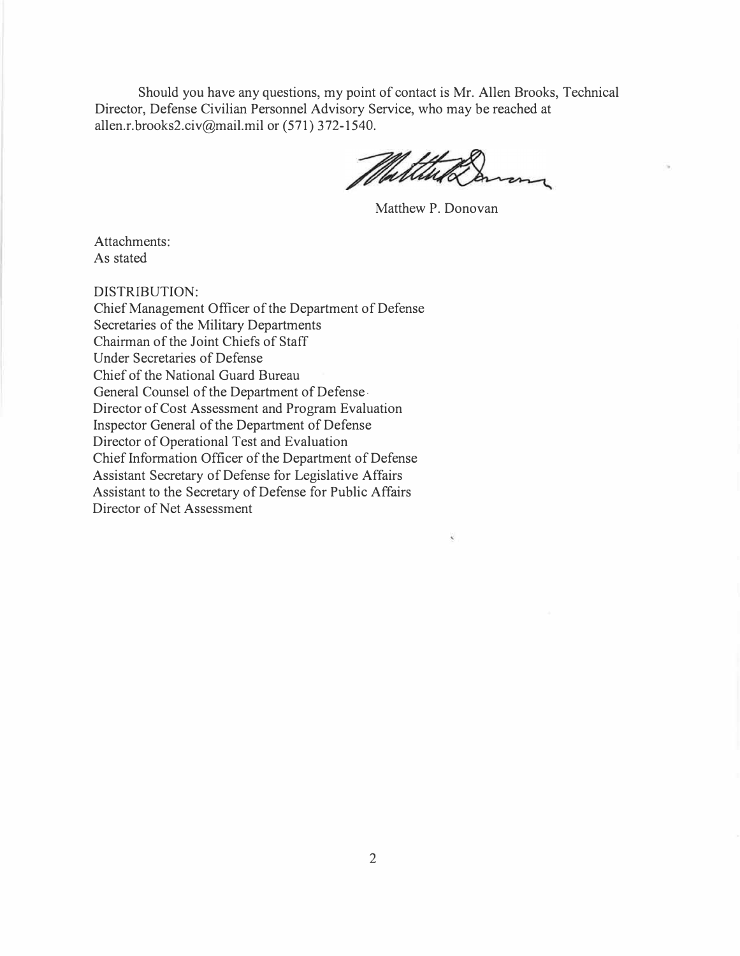Should you have any questions, my point of contact is Mr. Allen Brooks, Technical Director, Defense Civilian Personnel Advisory Service, who may be reached at allen.r.brooks2.civ@mail.mil or (571) 372-1540.

Multine

Matthew P. Donovan

Attachments: As stated

DISTRIBUTION:

Chief Management Officer of the Department of Defense Secretaries of the Military Departments Chairman of the Joint Chiefs of Staff Under Secretaries of Defense Chief of the National Guard Bureau General Counsel of the Department of Defense. Director of Cost Assessment and Program Evaluation Inspector General of the Department of Defense Director of Operational Test and Evaluation Chief Information Officer of the Department of Defense Assistant Secretary of Defense for Legislative Affairs Assistant to the Secretary of Defense for Public Affairs Director of Net Assessment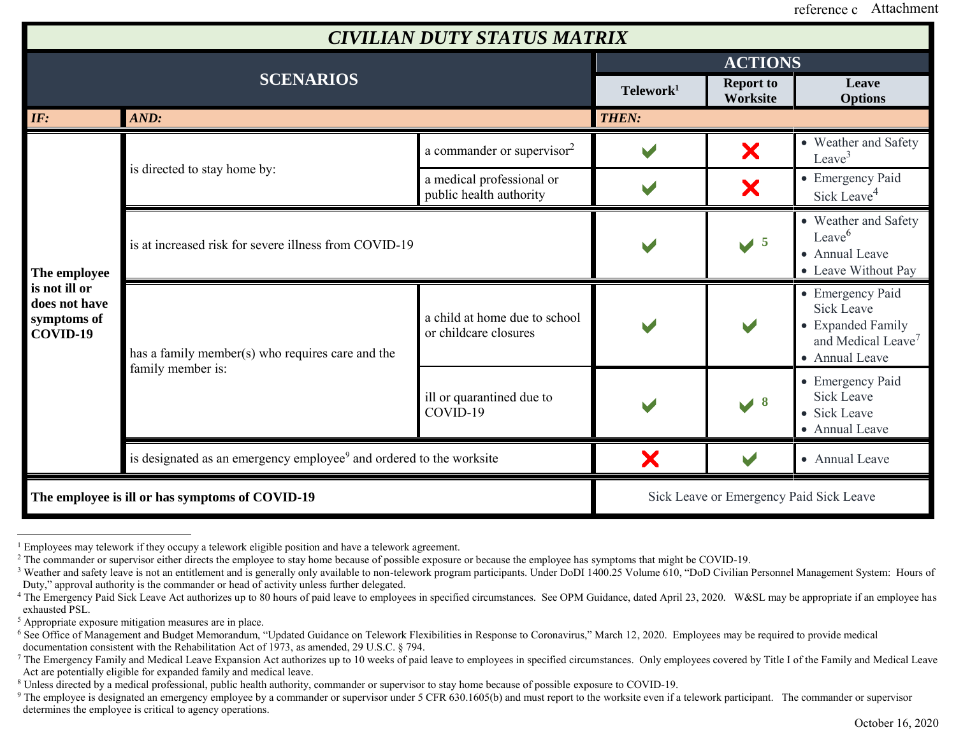| <b>CIVILIAN DUTY STATUS MATRIX</b>                                        |                                                                                 |                                                        |                                         |                              |                                                                                                                |
|---------------------------------------------------------------------------|---------------------------------------------------------------------------------|--------------------------------------------------------|-----------------------------------------|------------------------------|----------------------------------------------------------------------------------------------------------------|
| <b>SCENARIOS</b>                                                          |                                                                                 |                                                        | <b>ACTIONS</b>                          |                              |                                                                                                                |
|                                                                           |                                                                                 |                                                        | Telework <sup>1</sup>                   | <b>Report to</b><br>Worksite | Leave<br><b>Options</b>                                                                                        |
| IF:                                                                       | AND:                                                                            |                                                        | <b>THEN:</b>                            |                              |                                                                                                                |
| The employee<br>is not ill or<br>does not have<br>symptoms of<br>COVID-19 | is directed to stay home by:                                                    | a commander or supervisor <sup>2</sup>                 |                                         | X                            | • Weather and Safety<br>Leave <sup>3</sup>                                                                     |
|                                                                           |                                                                                 | a medical professional or<br>public health authority   |                                         | X                            | • Emergency Paid<br>Sick Leave <sup>4</sup>                                                                    |
|                                                                           | is at increased risk for severe illness from COVID-19                           |                                                        |                                         | $\sqrt{5}$                   | • Weather and Safety<br>Leave $6$<br>• Annual Leave<br>• Leave Without Pay                                     |
|                                                                           | has a family member(s) who requires care and the<br>family member is:           | a child at home due to school<br>or childcare closures |                                         |                              | • Emergency Paid<br><b>Sick Leave</b><br>• Expanded Family<br>and Medical Leave <sup>7</sup><br>• Annual Leave |
|                                                                           |                                                                                 | ill or quarantined due to<br>COVID-19                  |                                         | $\sqrt{8}$                   | • Emergency Paid<br><b>Sick Leave</b><br>• Sick Leave<br>• Annual Leave                                        |
|                                                                           | is designated as an emergency employee <sup>9</sup> and ordered to the worksite |                                                        | X                                       | $\blacktriangleright$        | • Annual Leave                                                                                                 |
| The employee is ill or has symptoms of COVID-19                           |                                                                                 |                                                        | Sick Leave or Emergency Paid Sick Leave |                              |                                                                                                                |

<sup>&</sup>lt;sup>1</sup> Employees may telework if they occupy a telework eligible position and have a telework agreement.

<sup>&</sup>lt;sup>2</sup> The commander or supervisor either directs the employee to stay home because of possible exposure or because the employee has symptoms that might be COVID-19.

<sup>&</sup>lt;sup>3</sup> Weather and safety leave is not an entitlement and is generally only available to non-telework program participants. Under DoDI 1400.25 Volume 610, "DoD Civilian Personnel Management System: Hours of Duty," approval authority is the commander or head of activity unless further delegated.

<sup>&</sup>lt;sup>4</sup> The Emergency Paid Sick Leave Act authorizes up to 80 hours of paid leave to employees in specified circumstances. See OPM Guidance, dated April 23, 2020. W&SL may be appropriate if an employee has exhausted PSL.

<sup>5</sup> Appropriate exposure mitigation measures are in place.

<sup>&</sup>lt;sup>6</sup> See Office of Management and Budget Memorandum, "Updated Guidance on Telework Flexibilities in Response to Coronavirus," March 12, 2020. Employees may be required to provide medical documentation consistent with the Rehabilitation Act of 1973, as amended, 29 U.S.C. § 794.

<sup>&</sup>lt;sup>7</sup> The Emergency Family and Medical Leave Expansion Act authorizes up to 10 weeks of paid leave to employees in specified circumstances. Only employees covered by Title I of the Family and Medical Leave Act are potentially eligible for expanded family and medical leave.

<sup>8</sup> Unless directed by a medical professional, public health authority, commander or supervisor to stay home because of possible exposure to COVID-19.

<sup>&</sup>lt;sup>9</sup> The employee is designated an emergency employee by a commander or supervisor under 5 CFR 630.1605(b) and must report to the worksite even if a telework participant. The commander or supervisor determines the employee is critical to agency operations.